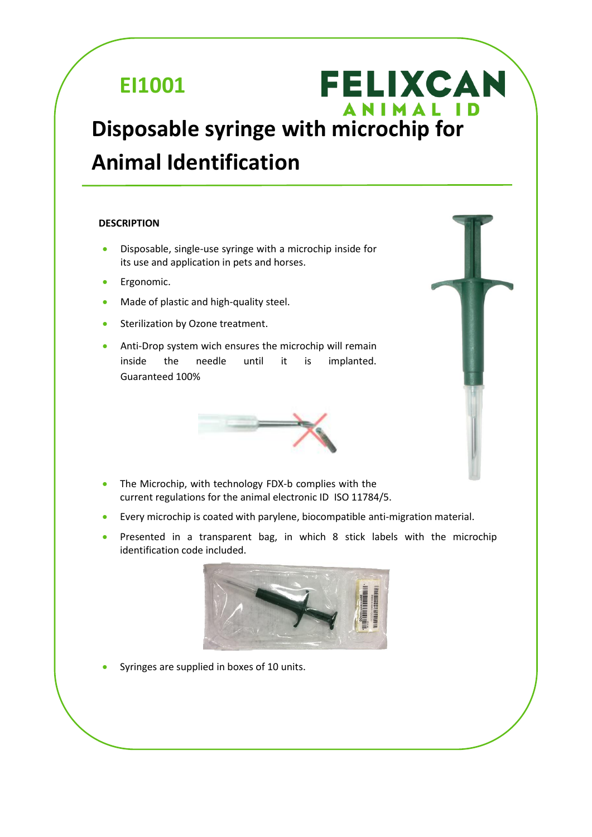

## **ANIMAL ID Disposable syringe with microchip for Animal Identification**

**FELIXCAN** 

#### **DESCRIPTION**

- Disposable, single-use syringe with a microchip inside for its use and application in pets and horses.
- Ergonomic.
- Made of plastic and high-quality steel.
- Sterilization by Ozone treatment.
- Anti-Drop system wich ensures the microchip will remain inside the needle until it is implanted. Guaranteed 100%



- The Microchip, with technology FDX-b complies with the current regulations for the animal electronic ID ISO 11784/5.
- Every microchip is coated with parylene, biocompatible anti-migration material.
- Presented in a transparent bag, in which 8 stick labels with the microchip identification code included.



• Syringes are supplied in boxes of 10 units.